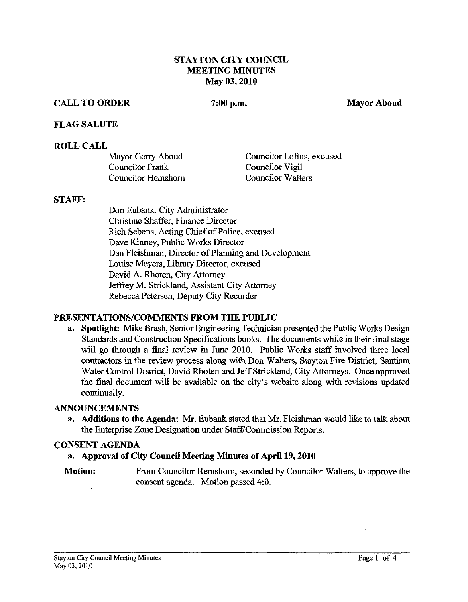### **STAYTON CITY COUNCIL MEETING MINUTES May 03,2010**

## **CALL TO ORDER**

7:00 p.m.

**Mayor Aboud** 

#### **FLAG SALUTE**

#### **ROLL CALL**

| Mayor Gerry Aboud  | Councilor Loftus, excused |
|--------------------|---------------------------|
| Councilor Frank    | Councilor Vigil           |
| Councilor Hemshorn | <b>Councilor Walters</b>  |

#### **STAFP:**

Don Eubank, City Administrator Christine Shaffer, Finance Director Rich Sebens, Acting Chief of Police, excused Dave Kinney, Public Works Director Dan Fleishman, Director of Planning and Development Louise Meyers, Library Director, excused David A. Rhoten, City Attorney Jeffrey M. Strickland, Assistant City Attorney Rebecca Petersen, Deputy City Recorder

### **PRESENTATIONS/COMMENTS FROM THE PUBLIC**

**a. Spotlight:** Mike Brash, Senior Engineering Technician presented the Public Works Design Standards and Construction Specifications books. The documents while in their final stage will go through a final review in June 2010. Public Works staff involved three local contractors in the review process along with Don Walters, Stayton Fire District, Santiam Water Control District, David Rhoten and Jeff Strickland, City Attorneys. Once approved the final document will be available on the city's website along with revisions updated continually.

#### **ANNOUNCEMENTS**

**a.** Additions to the Agenda: Mr. Eubank stated that Mr. Fleishman would like to talk about the Enterprise Zone Designation under Staff/Commission Reports.

#### **CONSENT AGENDA**

### **a. Approval of City Council Meeting Minutes of April 19,2010**

**Motion:** From Councilor Hemshorn, seconded by Councilor Walters, to approve the consent agenda. Motion passed 4:O.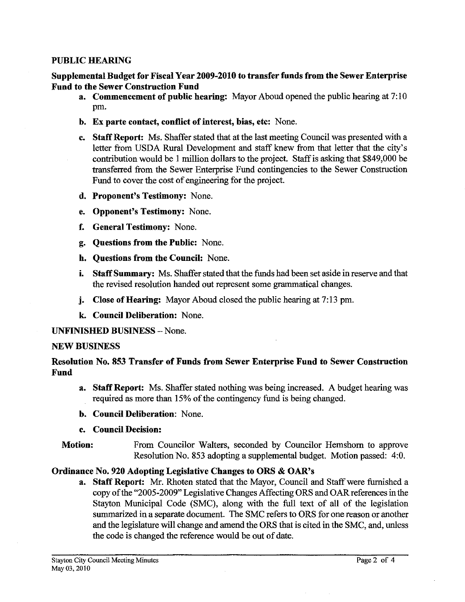### PUBLIC HEARING

### Supplemental Budget for Fiscal Year **2009-2010** to transfer funds from the Sewer Enterprise Fund to the Sewer Construction Fund

- a. Commencement of public hearing: Mayor Aboud opened the public hearing at 7: 10 pm.
- b. Ex parte contact, conflict of interest, bias, etc: None.
- c. Staff Report: Ms. Shaffer stated that at the last meeting Council was presented with a letter from USDA Rural Development and staff knew from that letter that the city's contribution would be 1 million dollars to the project. Staff is asking that \$849,000 be transferred from the Sewer Enterprise Fund contingencies to the Sewer Construction Fund to cover the cost of engineering for the project.
- d. Proponent's Testimony: None.
- e. Opponent's Testimony: None.
- f. General Testimony: None.
- g. Questions from the Public: None.
- h. Questions from the Council: None.
- i. Staff Summary: Ms. Shaffer stated that the funds had been set aside in reserve and that the revised resolution handed out represent some grammatical changes.
- j. Close of Hearing: Mayor Aboud closed the public hearing at 7:13 pm.
- **k** Council Deliberation: None.

### UNFINISHED BUSINESS - None.

### NEW BUSINESS

# Resolution No. 853 Transfer of Funds from Sewer Enterprise Fund to Sewer Construction Fund

- **a.** Staff Report: Ms. Shaffer stated nothing was being increased. A budget hearing was required as more than 15% of the contingency fund is being changed.
- b. Council Deliberation: None.
- e. Council Decision:

## Motion: From Councilor Walters, seconded by Councilor Hemshom to approve Resolution No. 853 adopting a supplemental budget. Motion passed: 4:O.

## Ordinance No. **920** Adopting Legislative Changes to ORS & OAR'S

a. Staff Report: Mr. Rhoten stated that the Mayor, Council and Staff were furnished a copy of the "2005-2009" Legislative Changes Affecting ORS and OAR references in the Stayton Municipal Code (SMC), along with the full text of all of the legislation summarized in a separate document. The SMC refers to ORS for one reason or another and the legislature will change and amend the ORS that is cited in the SMC, and, unless the code is changed the reference would be out of date.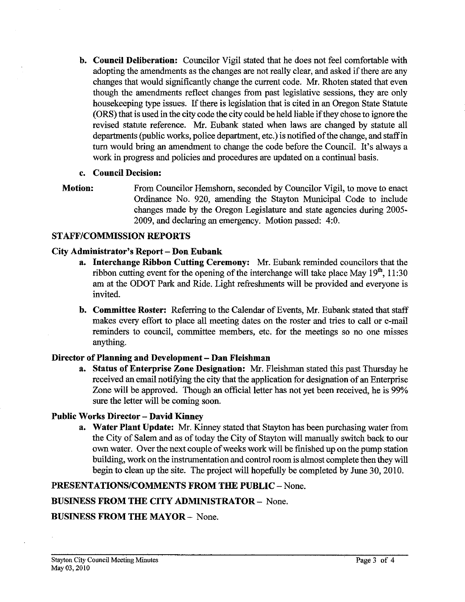**b. Council Deliberation:** Councilor Vigil stated that he does not feel comfortable with adopting the amendments as the changes are not really clear, and asked if there are any changes that would significantly change the current code. Mr. Rhoten stated that even though the amendments reflect changes from past legislative sessions, they are only housekeeping type issues. If there is legislation that is cited in an Oregon State Statute (ORS) that is used in the city code the city could be held liable if they chose to ignore the revised statute reference. Mr. Eubank stated when laws are changed by statute all departments (public works, police department, etc.) is notified of the change, and staff in turn would bring an amendment to change the code before the Council. It's always a work in progress and policies and procedures are updated on a continual basis.

## **c. Council Decision:**

**Motion:** From Councilor Hemshom, seconded by Councilor Vigil, to move to enact Ordinance No. 920, amending the Stayton Municipal Code to include changes made by the Oregon Legislature and state agencies during 2005- 2009, and declaring an emergency. Motion passed: 4:O.

## **STAFFICOMMISSION REPORTS**

## **City Administrator's Report** - **Don Eubank**

- **a.** Interchange Ribbon Cutting Ceremony: Mr. Eubank reminded councilors that the ribbon cutting event for the opening of the interchange will take place May 19", 1 1:30 am at the ODOT Park and Ride. Light refreshments will be provided and everyone is invited.
- **b. Committee Roster:** Referring to the Calendar of Events, Mr. Eubank stated that staff makes every effort to place all meeting dates on the roster and tries to call or e-mail reminders to council, committee members, etc. for the meetings so no one misses anything.

## **Director of Planning and Development** - **Dan Fleishman**

**a. Status of Enterprise Zone Designation: Mr.** Fleishman stated this past Thursday he received an email notifying the city that the application for designation of an Enterprise Zone will be approved. Though an official letter has not yet been received, he is 99% sure the letter will be coming soon.

## **Public Works Director** - **David Kinney**

**a. Water Plant Update: Mr.** Kinney stated that Stayton has been purchasing water from the City of Salem and as of today the City of Stayton will manually switch back to our own water. Over the next couple of weeks work will be finished up on the pump station building, work on the instrumentation and control room is almost complete then they will begin to clean up the site. The project will hopefully be completed by June 30,2010.

## **PRESENTATIONS/COMMENTS FROM THE PUBLIC - None.**

## **BUSINESS FROM THE CITY ADMINISTRATOR** - None.

## **BUSINESS FROM THE MAYOR** - None.